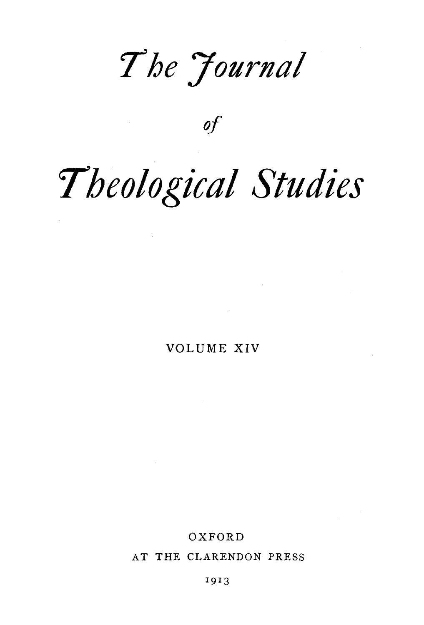*7he Journal* 

*of* 

# *Theological Studies*

VOLUME XIV

**Contractor** 

### OXFORD

AT THE CLARENDON PRESS

1913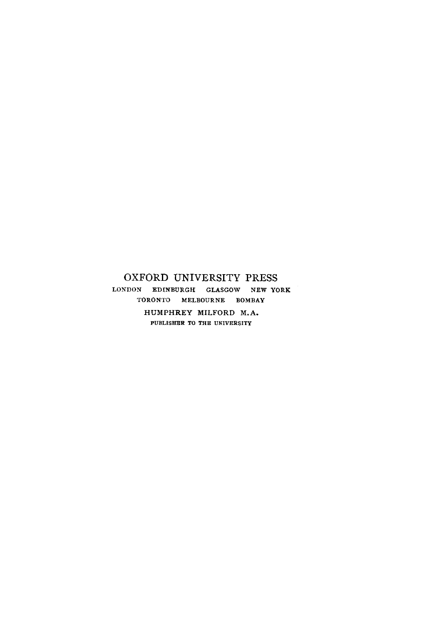### OXFORD UNIVERSITY PRESS LONDON EDINBURGH GLASGOW NEW YORK TORONTO MELBOURNE BOMBAY HUMPHREY MILFORD M.A. PUBLISHER TO THE UNIVERSITY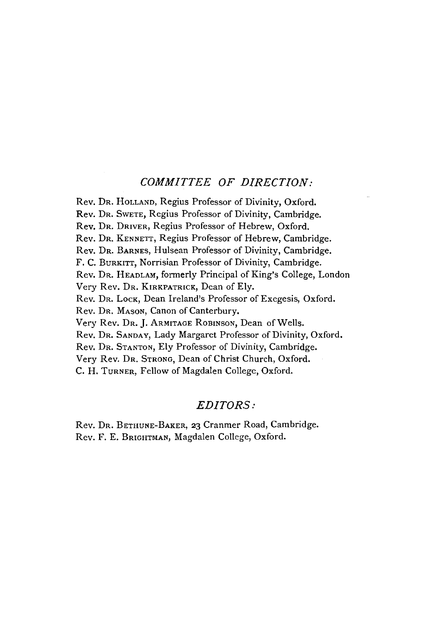### *COMMITTEE OF DIRECTION:*

Rev. DR. HoLLAND, Regius Professor of Divinity, Oxford. Rev. DR. SWETE, Regius Professor of Divinity, Cambridge. Rev. DR. DRIVER, Regius Professor of Hebrew, Oxford. Rev. DR. KENNETT, Regius Professor of Hebrew, Cambridge. Rev. DR. BARNES, Hulsean Professor of Divinity, Cambridge. F. C. BuRKITT, Norrisian Professor of Divinity, Cambridge. Rev. DR. HEADLAM, formerly Principal of King's College, London Very Rev. DR. KIRKPATRICK, Dean of Ely. Rev. Dr. Lock, Dean Ireland's Professor of Exegesis, Oxford. Rev. DR. MAsON, Canon of Canterbury. Very Rev. Dr. J. ARMITAGE ROBINSON, Dean of Wells. Rev. DR. SANDAY, Lady Margaret Professor of Divinity, Oxford. Rev. DR. STANTON, Ely Professor of Divinity, Cambridge. Very Rev. DR. STRONG, Dean of Christ Church, Oxford. C. H. TuRNER, Fellow of Magdalen College, Oxford.

### *EDITORS:*

Rev. DR. BETHUNE-BAKER, 23 Cranmer Road, Cambridge. Rev. F. E. BRIGHTMAN, Magdalen College, Oxford.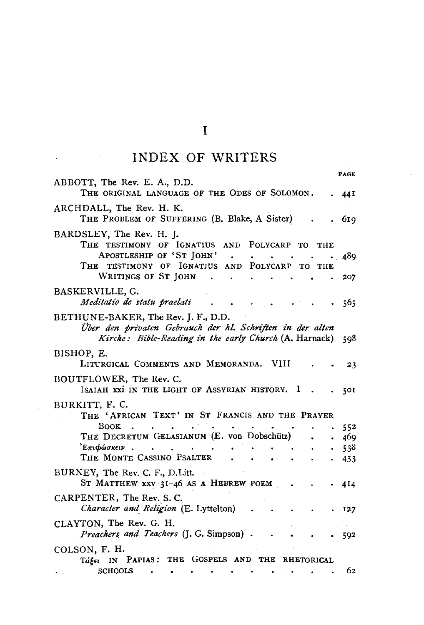# INDEX OF WRITERS

| ABBOTT, The Rev. E. A., D.D.                                                                                                                                                       | PAGE |
|------------------------------------------------------------------------------------------------------------------------------------------------------------------------------------|------|
| THE ORIGINAL LANGUAGE OF THE ODES OF SOLOMON.                                                                                                                                      | 44 I |
| ARCHDALL, The Rev. H. K.<br>THE PROBLEM OF SUFFERING (B. Blake, A Sister)                                                                                                          | 619  |
| BARDSLEY, The Rev. H. J.                                                                                                                                                           |      |
| THE TESTIMONY OF IGNATIUS AND POLYCARP TO<br>THE                                                                                                                                   |      |
| APOSTLESHIP OF 'ST JOHN'<br>$\sim 10^{-11}$                                                                                                                                        | 489  |
| THE TESTIMONY OF IGNATIUS AND POLYCARP TO<br>THE<br>WRITINGS OF ST JOHN<br>$\mathbf{L} = \mathbf{L}$<br>$\mathbf{a}$ , and $\mathbf{a}$ , and $\mathbf{a}$ , and $\mathbf{a}$<br>٠ | 207  |
| BASKERVILLE, G.                                                                                                                                                                    |      |
| Meditatio de statu praelati                                                                                                                                                        | 565  |
| BETHUNE-BAKER, The Rev. J. F., D.D.                                                                                                                                                |      |
| Über den privaten Gebrauch der hl. Schriften in der alten                                                                                                                          |      |
| Kirche: Bible-Reading in the early Church (A. Harnack)                                                                                                                             | 598  |
| BISHOP, E.                                                                                                                                                                         |      |
| LITURGICAL COMMENTS AND MEMORANDA. VIII                                                                                                                                            | 23   |
| BOUTFLOWER, The Rev. C.                                                                                                                                                            |      |
| ISAIAH XXI IN THE LIGHT OF ASSYRIAN HISTORY. I                                                                                                                                     | 5OI  |
| BURKITT, F. C.                                                                                                                                                                     |      |
| THE 'AFRICAN TEXT' IN ST FRANCIS AND THE PRAYER                                                                                                                                    |      |
| <b>BOOK</b><br>$\sim$                                                                                                                                                              | 552  |
| THE DECRETUM GELASIANUM (E. von Dobschütz)                                                                                                                                         | 469  |
| $E$ πι $\phi$ ώσκειν                                                                                                                                                               | 538  |
| THE MONTE CASSINO PSALTER.                                                                                                                                                         | 433  |
| BURNEY, The Rev. C. F., D. Litt.                                                                                                                                                   |      |
| ST MATTHEW XXV 31-46 AS A HEBREW POEM                                                                                                                                              | 414  |
| CARPENTER, The Rev. S.C.                                                                                                                                                           |      |
| Character and Religion (E. Lyttelton)                                                                                                                                              | 127  |
| CLAYTON, The Rev. G. H.                                                                                                                                                            |      |
| Preachers and Teachers (J. G. Simpson).                                                                                                                                            | 592  |
| COLSON, F. H.                                                                                                                                                                      |      |
| Take IN PAPIAS: THE GOSPELS AND THE RHETORICAL                                                                                                                                     |      |
| <b>SCHOOLS</b><br><b>Change of the A</b><br>$\bullet$                                                                                                                              | 62   |

 $\mathbf I$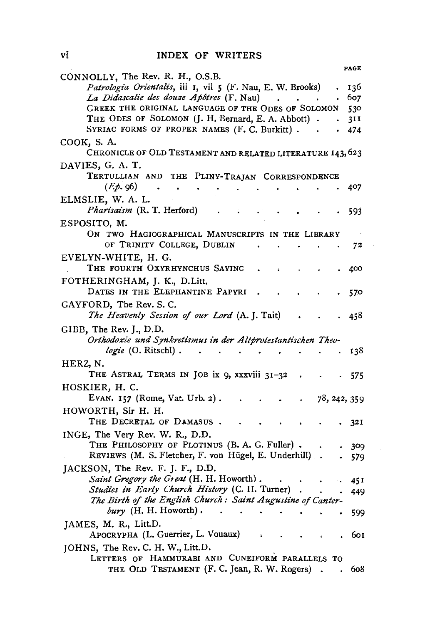INDEX OF WRITERS

|                                                                           | PAGE         |
|---------------------------------------------------------------------------|--------------|
| CONNOLLY, The Rev. R. H., O.S.B.                                          |              |
| Patrologia Orientalis, iii 1, vii 5 (F. Nau, E. W. Brooks)                | 136          |
| La Didascalie des douze Apôtres (F. Nau)                                  | 607          |
| GREEK THE ORIGINAL LANGUAGE OF THE ODES OF SOLOMON                        | 530          |
| THE ODES OF SOLOMON (J. H. Bernard, E. A. Abbott)                         | 31 I         |
| SYRIAC FORMS OF PROPER NAMES (F. C. Burkitt) .                            | 474          |
| COOK, S. A.<br>CHRONICLE OF OLD TESTAMENT AND RELATED LITERATURE 143, 623 |              |
| DAVIES, G. A. T.                                                          |              |
| TERTULLIAN AND<br>PLINY-TRAJAN CORRESPONDENCE<br>THE                      |              |
| $(E\phi.96)$                                                              | 407          |
| ELMSLIE, W. A. L.                                                         |              |
| <i>Pharisaism</i> (R. T. Herford)                                         | 593          |
| ESPOSITO, M.                                                              |              |
| ON TWO HAGIOGRAPHICAL MANUSCRIPTS IN THE LIBRARY                          |              |
| OF TRINITY COLLEGE, DUBLIN                                                | 72           |
| EVELYN-WHITE, H. G.                                                       |              |
| THE FOURTH OXYRHYNCHUS SAYING                                             | 400          |
|                                                                           |              |
| FOTHERINGHAM, J. K., D.Litt.<br>DATES IN THE ELEPHANTINE PAPYRI           | 570          |
| GAYFORD, The Rev. S.C.                                                    |              |
| The Heavenly Session of our Lord (A.J.Tait)                               | 458          |
| $GIBB$ , The Rev. J., D.D.                                                |              |
| Orthodoxie und Synkretismus in der Altprotestantischen Theo-              |              |
| <i>logie</i> (O. Ritschl).                                                | 138          |
| HERZ, N.                                                                  |              |
| THE ASTRAL TERMS IN JOB ix 9, xxxviii 31-32                               |              |
|                                                                           | 575          |
| HOSKIER, H. C.                                                            |              |
| EVAN. 157 (Rome, Vat. Urb. 2).                                            | 78, 242, 359 |
| HOWORTH, Sir H. H.                                                        |              |
| THE DECRETAL OF DAMASUS.                                                  | 321          |
| INGE, The Very Rev. W. R., D.D.                                           |              |
| THE PHILOSOPHY OF PLOTINUS (B. A. G. Fuller).                             | 309          |
| REVIEWS (M. S. Fletcher, F. von Hügel, E. Underhill).                     | 579          |
| JACKSON, The Rev. F. J. F., D.D.                                          |              |
| Saint Gregory the Great (H. H. Howorth).                                  | 45 I         |
| Studies in Early Church History (C. H. Turner)                            | 449          |
| The Birth of the English Church: Saint Augustine of Canter-               |              |
| bury $(H. H. Howorth)$ .                                                  | 599          |
| JAMES, M. R., Litt.D.                                                     |              |
| APOCRYPHA (L. Guerrier, L. Vouaux)                                        | 601          |
|                                                                           |              |
| JOHNS, The Rev. C. H. W., Litt.D.                                         |              |
| LETTERS OF HAMMURABI AND CUNEIFORM PARALLELS TO                           |              |
| THE OLD TESTAMENT (F. C. Jean, R. W. Rogers)                              | 608          |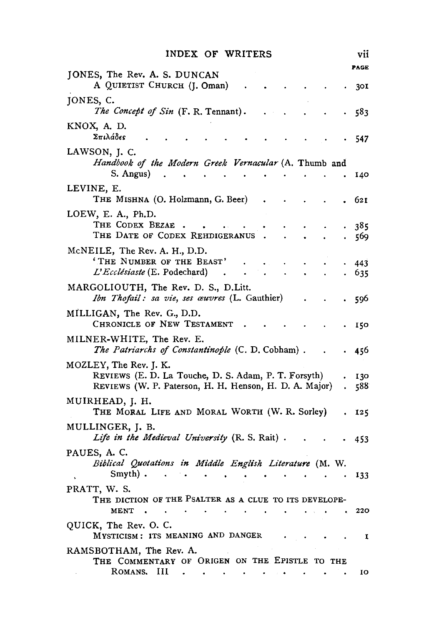| INDEX OF WRITERS |
|------------------|
|------------------|

|                                                                                                                                          | PAGE       |
|------------------------------------------------------------------------------------------------------------------------------------------|------------|
| JONES, The Rev. A. S. DUNCAN<br>A QUIETIST CHURCH (J. Oman)                                                                              | 301        |
| JONES, C.<br>The Concept of Sin (F. R. Tennant).                                                                                         | 583        |
| KNOX, A. D.<br>Σπιλάδες                                                                                                                  | 547        |
| LAWSON, J. C.<br>Handbook of the Modern Greek Vernacular (A. Thumb and<br>S. Angus)                                                      | 140        |
| LEVINE, E.<br>THE MISHNA (O. Holzmann, G. Beer)                                                                                          | 621        |
| LOEW, E. A., Ph.D.<br>THE CODEX BEZAE<br>THE DATE OF CODEX REHDIGERANUS                                                                  | 385<br>569 |
| McNEILE, The Rev. A. H., D.D.<br>'THE NUMBER OF THE BEAST'<br>L'Ecclésiaste (E. Podechard)                                               | 443<br>635 |
| MARGOLIOUTH, The Rev. D. S., D.Litt.<br><i>Ibn Thofail: sa vie, ses œuvres</i> (L. Gauthier)                                             | 596        |
| MILLIGAN, The Rev. G., D.D.<br>CHRONICLE OF NEW TESTAMENT                                                                                | 150        |
| MILNER-WHITE, The Rev. E.<br>The Patriarchs of Constantinople (C. D. Cobham).                                                            | 456        |
| MOZLEY, The Rev. J. K.<br>REVIEWS (E. D. La Touche, D. S. Adam, P. T. Forsyth)<br>REVIEWS (W. P. Paterson, H. H. Henson, H. D. A. Major) | 130<br>588 |
| MUIRHEAD, J. H.<br>THE MORAL LIFE AND MORAL WORTH (W. R. Sorley)                                                                         | 125        |
| MULLINGER, J. B.<br>Life in the Medieval University (R. S. Rait).                                                                        | 453        |
| PAUES, A. C.<br>Biblical Quotations in Middle English Literature (M. W.<br>Smyth).                                                       | 133        |
| PRATT, W. S.<br>THE DICTION OF THE PSALTER AS A CLUE TO ITS DEVELOPE-<br><b>MENT</b>                                                     | 220        |
| QUICK, The Rev. O. C.<br>MYSTICISM: ITS MEANING AND DANGER                                                                               | 1          |
| RAMSBOTHAM, The Rev. A.<br>THE COMMENTARY OF ORIGEN ON THE EPISTLE TO THE<br>ROMANS.<br>ш                                                | IO         |

vii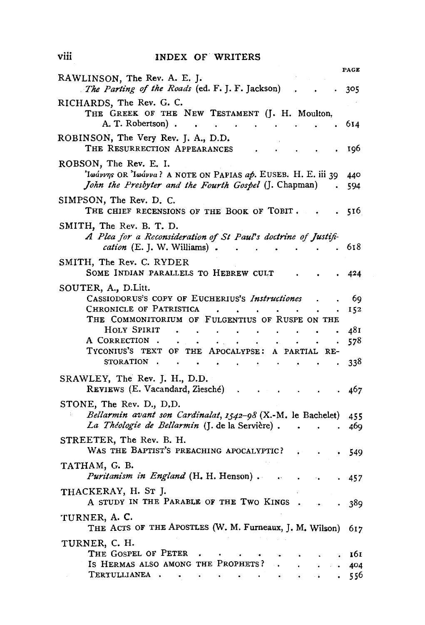### INDEX OF WRITERS

- - - -

|                                                                                                                                                  | PAGE       |
|--------------------------------------------------------------------------------------------------------------------------------------------------|------------|
| RAWLINSON, The Rev. A. E. J.<br>The Parting of the Roads (ed. F. J. F. Jackson)                                                                  | 305        |
| RICHARDS, The Rev. G. C.<br>THE GREEK OF THE NEW TESTAMENT (J. H. Moulton,<br>A. T. Robertson).                                                  | 614        |
| ROBINSON, The Very Rev. J. A., D.D.<br>THE RESURRECTION APPEARANCES                                                                              | 196        |
| ROBSON, The Rev. E. I.<br>'Iwávvns OR 'Iwávva? A NOTE ON PAPIAS ap. EUSEB. H. E. iii 39<br>John the Presbyter and the Fourth Gospel (J. Chapman) | 440<br>594 |
| SIMPSON, The Rev. D. C.<br>THE CHIEF RECENSIONS OF THE BOOK OF TOBIT.                                                                            | 516        |
| SMITH, The Rev. B. T. D.<br>A Plea for a Reconsideration of St Paul's doctrine of Justifi-<br><i>cation</i> (E. J. W. Williams).                 | 618        |
| SMITH, The Rev. C. RYDER<br>SOME INDIAN PARALLELS TO HEBREW CULT                                                                                 | 424        |
| SOUTER, A., D.Litt.<br>CASSIODORUS'S COPY OF EUCHERIUS'S Instructiones                                                                           | 69         |
| CHRONICLE OF PATRISTICA<br>THE COMMONITORIUM OF FULGENTIUS OF RUSPE ON THE                                                                       | 152        |
| HOLY SPIRIT<br>$\bullet$<br>A CORRECTION.<br>TYCONIUS'S TEXT OF THE APOCALYPSE: A PARTIAL RE-                                                    | 481<br>578 |
| <b>STORATION</b><br>$\mathcal{L}_{\bullet}$<br>SRAWLEY, The Rev. J. H., D.D.                                                                     | 338        |
| REVIEWS (E. Vacandard, Ziesché)                                                                                                                  | 467        |
| STONE, The Rev. D., D.D.<br>Bellarmin avant son Cardinalat, 1542-98 (X.-M. le Bachelet)<br>La Théologie de Bellarmin (J. de la Servière).        | 455        |
| STREETER, The Rev. B. H.                                                                                                                         | 469        |
| WAS THE BAPTIST'S PREACHING APOCALYPTIC?<br>ТАТНАМ, G. B.                                                                                        | 549        |
| Puritanism in England (H. H. Henson).<br>THACKERAY, H. ST J.                                                                                     | 457        |
| A STUDY IN THE PARABLE OF THE TWO KINGS                                                                                                          | 389        |
| TURNER, A. C.<br>THE ACTS OF THE APOSTLES (W. M. Furneaux, J. M. Wilson)                                                                         | 617        |
| TURNER, C. H.<br>THE GOSPEL OF PETER                                                                                                             | 161        |
| IS HERMAS ALSO AMONG THE PROPHETS?<br>TERTULLIANEA .                                                                                             | 404<br>556 |

viii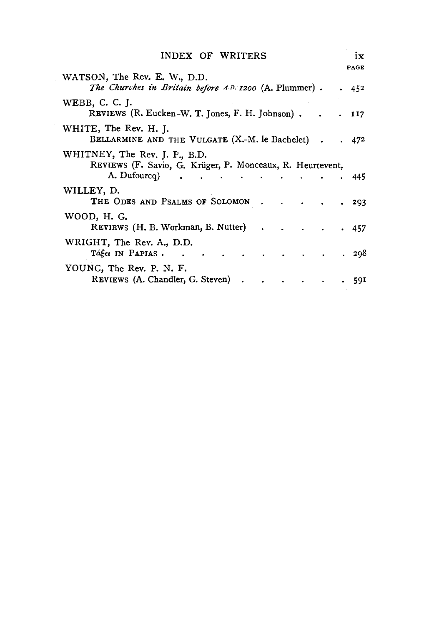| INDEX OF WRITERS                                                                                              | PAGE      | ix |
|---------------------------------------------------------------------------------------------------------------|-----------|----|
| WATSON, The Rev. E. W., D.D.<br>The Churches in Britain before A.D. 1200 (A. Plummer).                        | .452      |    |
| WEBB, C. C. J.<br>REVIEWS (R. Eucken-W. T. Jones, F. H. Johnson).                                             | $.$ $II7$ |    |
| WHITE, The Rev. H. J.<br>BELLARMINE AND THE VULGATE (X.-M. le Bachelet).                                      | .472      |    |
| WHITNEY, The Rev. J. P., B.D.<br>REVIEWS (F. Savio, G. Krüger, P. Monceaux, R. Heurtevent,<br>A. Dufourcq (a) | - 445     |    |
| WILLEY, D.<br>THE ODES AND PSALMS OF SOLOMON                                                                  | . 293     |    |
| WOOD, H. G.<br>REVIEWS (H. B. Workman, B. Nutter) 457                                                         |           |    |
| WRIGHT, The Rev. A., D.D.<br>$T\acute{a}\acute{\xi}\epsilon\epsilon$ in Papias.                               | . 298     |    |
| YOUNG, The Rev. P. N. F.<br>REVIEWS (A. Chandler, G. Steven)                                                  | . 591     |    |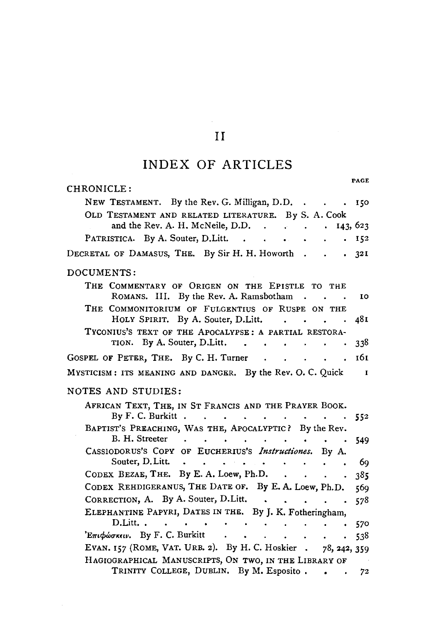# II

# INDEX OF ARTICLES

| PAGE                                                                                                                                                                                        |
|---------------------------------------------------------------------------------------------------------------------------------------------------------------------------------------------|
| CHRONICLE:                                                                                                                                                                                  |
| NEW TESTAMENT. By the Rev. G. Milligan, D.D<br>150                                                                                                                                          |
| OLD TESTAMENT AND RELATED LITERATURE. By S. A. Cook                                                                                                                                         |
| and the Rev. A. H. McNeile, D.D. .                                                                                                                                                          |
| PATRISTICA. By A. Souter, D. Litt.<br>152<br>$\bullet$ . $\bar{\phantom{a}}$<br>$\bullet$<br>$\bullet$ . The set of $\bullet$                                                               |
| DECRETAL OF DAMASUS, THE. By Sir H. H. Howorth.<br>321<br>$\sim$ $\sim$                                                                                                                     |
| DOCUMENTS:                                                                                                                                                                                  |
| THE COMMENTARY OF ORIGEN ON THE EPISTLE TO THE<br>ROMANS. III. By the Rev. A. Ramsbotham.<br>ΙO                                                                                             |
| THE COMMONITORIUM OF FULGENTIUS OF RUSPE ON THE                                                                                                                                             |
| HOLY SPIRIT. By A. Souter, D.Litt.<br>48 L<br>$\mathbf{r}$<br><b>Contract Contract</b>                                                                                                      |
| TYCONIUS'S TEXT OF THE APOCALYPSE: A PARTIAL RESTORA-                                                                                                                                       |
| TION. By A. Souter, D. Litt.<br>338<br>$\bullet$                                                                                                                                            |
| 161<br>GOSPEL OF PETER, THE. By C. H. Turner<br>$\cdot$ $\cdot$ $\cdot$ $\cdot$ $\cdot$                                                                                                     |
| MYSTICISM: ITS MEANING AND DANGER. By the Rev. O. C. Quick<br>$\blacksquare$                                                                                                                |
|                                                                                                                                                                                             |
| NOTES AND STUDIES:                                                                                                                                                                          |
| AFRICAN TEXT, THE, IN ST FRANCIS AND THE PRAYER BOOK.<br>By F. C. Burkitt<br>552<br>$\bullet$ .<br><br><br><br><br><br><br><br><br><br><br><br><br><br>                                     |
| BAPTIST'S PREACHING, WAS THE, APOCALYPTIC? By the Rev.                                                                                                                                      |
| B. H. Streeter<br>$\bullet$<br>549<br>$\ddot{\phantom{a}}$                                                                                                                                  |
| CASSIODORUS'S COPY OF EUCHERIUS'S Instructiones. By A.                                                                                                                                      |
| Souter, D. Litt.<br>69<br>$\bullet$                                                                                                                                                         |
| CODEX BEZAE, THE. By E. A. Loew, Ph.D.<br>385                                                                                                                                               |
| CODEX REHDIGERANUS, THE DATE OF. By E. A. Loew, Ph.D.<br>569                                                                                                                                |
| CORRECTION, A. By A. Souter, D. Litt.<br>578                                                                                                                                                |
| ELEPHANTINE PAPYRI, DATES IN THE. By J. K. Fotheringham,                                                                                                                                    |
| D.Litt<br>$\sim$<br>570<br>$\bullet$ .<br><br><br><br><br><br><br><br><br><br><br><br><br><br><br><br><br><br><br><br><br><br><br><br><br><br><br><br><br><br><br><br><br><br><br>$\bullet$ |
| $\sum$ Επιφώσκειν. By F. C. Burkitt<br>538.<br>$\mathbf{r}$<br>$\cdot$ $\cdot$ $\cdot$ $\cdot$ $\cdot$<br>$\bullet$                                                                         |
| EVAN. 157 (ROME, VAT. URB. 2). By H. C. Hoskier . 78, 242, 359                                                                                                                              |
| HAGIOGRAPHICAL MANUSCRIPTS, ON TWO, IN THE LIBRARY OF                                                                                                                                       |
| TRINITY COLLEGE, DUBLIN. By M. Esposito.<br>72<br>$\bullet$ .<br><br><br><br><br><br><br><br>                                                                                               |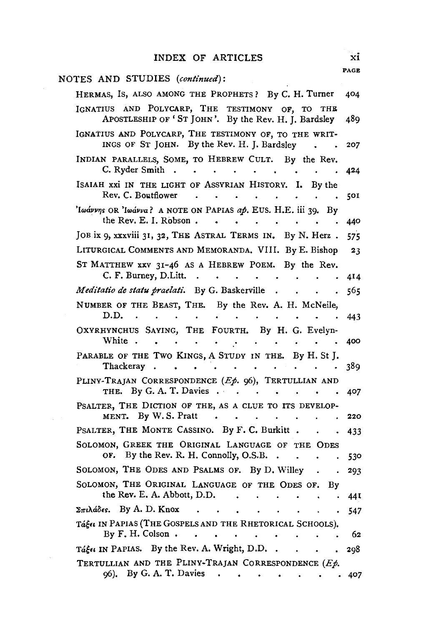| NOTES AND STUDIES (continued):                                                                                                                                  |             |
|-----------------------------------------------------------------------------------------------------------------------------------------------------------------|-------------|
| HERMAS, IS, ALSO AMONG THE PROPHETS? By C. H. Turner                                                                                                            | 404         |
| IGNATIUS AND POLYCARP, THE TESTIMONY OF, TO THE<br>APOSTLESHIP OF 'ST JOHN'. By the Rev. H. J. Bardsley                                                         | 489         |
| IGNATIUS AND POLYCARP, THE TESTIMONY OF, TO THE WRIT-<br>INGS OF ST JOHN. By the Rev. H. J. Bardsley                                                            | 207         |
| INDIAN PARALLELS, SOME, TO HEBREW CULT. By the Rev.<br>C. Ryder Smith.<br>$\bullet$<br>$\bullet$<br>$\bullet$ .<br><br><br><br><br><br><br><br><br><br><br><br> | 424         |
| ISAIAH XXI IN THE LIGHT OF ASSYRIAN HISTORY. I. By the<br>Rev. C. Boutflower<br>$\bullet$                                                                       | 501         |
| 'Iwávvns OR 'Iwávva? A NOTE ON PAPIAS ap. EUS. H.E. iii 39. By<br>the Rev. E. I. Robson.                                                                        | 440         |
| JOB ix 9, xxxviii 31, 32, THE ASTRAL TERMS IN. By N. Herz.                                                                                                      | 575         |
| LITURGICAL COMMENTS AND MEMORANDA. VIII. By E. Bishop                                                                                                           | 23          |
| ST MATTHEW XXV 31-46 AS A HEBREW POEM. By the Rev.                                                                                                              |             |
| C. F. Burney, D.Litt.<br>$\ddot{\phantom{0}}$<br>$\ddot{\phantom{0}}$<br>$\bullet$ and $\bullet$ and $\bullet$                                                  | 414         |
| Meditatio de statu praelati. By G. Baskerville<br>$\bullet$                                                                                                     | 565         |
| NUMBER OF THE BEAST, THE. By the Rev. A. H. McNeile,<br>D.D.<br>$\bullet$                                                                                       | 443         |
| OXYRHYNCHUS SAYING, THE FOURTH. By H. G. Evelyn-<br>White.                                                                                                      | 400         |
| PARABLE OF THE TWO KINGS, A STUDY IN THE. By H. St J.<br>Thackeray.                                                                                             | 389         |
| PLINY-TRAJAN CORRESPONDENCE (Ep. 96), TERTULLIAN AND<br>By G. A. T. Davies $\cdot$<br>THE.<br>$\sim 10^{-10}$ and $\sim 10^{-10}$<br>$\blacksquare$             | 407         |
| PSALTER, THE DICTION OF THE, AS A CLUE TO ITS DEVELOP-<br>MENT. By W.S. Pratt<br>$\ddot{\phantom{1}}$                                                           | 220         |
| PSALTER, THE MONTE CASSINO. By F. C. Burkitt.                                                                                                                   | 433         |
| SOLOMON, GREEK THE ORIGINAL LANGUAGE OF THE ODES                                                                                                                |             |
| OF. By the Rev. R. H. Connolly, O.S.B                                                                                                                           | 530         |
| SOLOMON, THE ODES AND PSALMS OF. By D. Willey                                                                                                                   | 293         |
| SOLOMON, THE ORIGINAL LANGUAGE OF THE ODES OF.<br>Вy<br>the Rev. E. A. Abbott, D.D.                                                                             | 44 I        |
| Σπιλάδες. By A. D. Knox<br>$\sim$                                                                                                                               | 547         |
| Tage IN PAPIAS (THE GOSPELS AND THE RHETORICAL SCHOOLS).<br>By F. H. Colson.<br>$\sim 10^{-1}$<br><b>Contract Contract</b><br>$\bullet$                         | 62          |
| Táget IN PAPIAS. By the Rev. A. Wright, D.D                                                                                                                     | 298         |
| TERTULLIAN AND THE PLINY-TRAJAN CORRESPONDENCE (Ep.<br>06). By G. A. T. Davies                                                                                  | $\cdot$ 407 |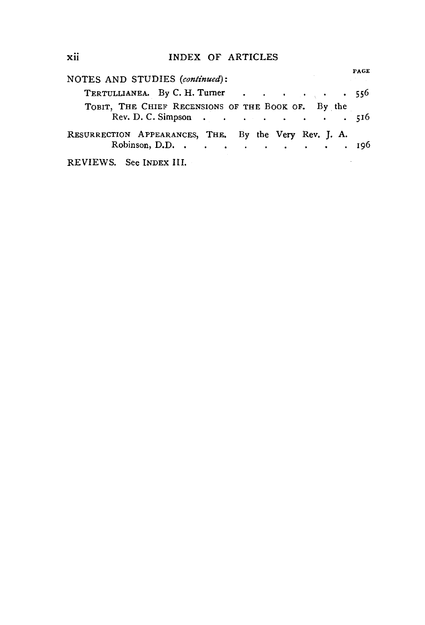xii INDEX OF ARTICLES

| NOTES AND STUDIES (continued):                                           | <b>PAGE</b> |
|--------------------------------------------------------------------------|-------------|
| TERTULLIANEA. By C. H. Turner 556                                        |             |
| TOBIT, THE CHIEF RECENSIONS OF THE BOOK OF. By the<br>Rev. D. C. Simpson | 516         |
| RESURRECTION APPEARANCES, THE. By the Very Rev. J. A.<br>Robinson, D.D.  | . 196       |
| REVIEWS. See INDEX III.                                                  |             |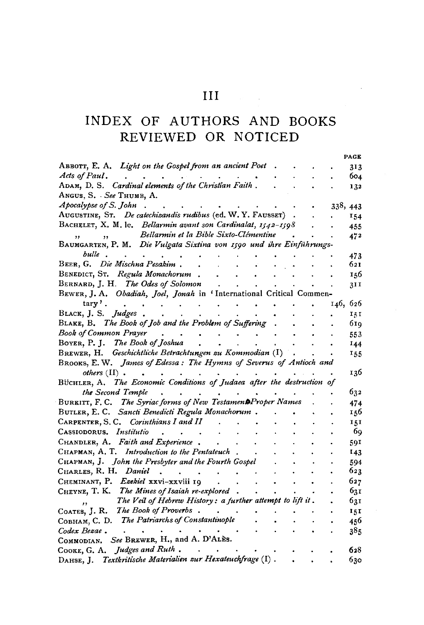# INDEX OF AUTHORS AND BOOKS REVIEWED OR NOTICED

PAGE

| ABBOTT, E. A. Light on the Gospel from an ancient Poet                    |          | 313  |
|---------------------------------------------------------------------------|----------|------|
| Acts of Paul.                                                             |          | 604  |
| ADAM, D. S. Cardinal elements of the Christian Faith.                     |          | 132  |
| ANGUS, S. See THUMB, A.                                                   |          |      |
| Apocalypse of S. John                                                     | 338, 443 |      |
| AUGUSTINE, ST. De catechisandis rudibus (ed. W.Y. FAUSSET)                |          | 154  |
| BACHELET, X. M. le. Bellarmin avant son Cardinalat, 1542-1598             |          | 455  |
| Bellarmin et la Bible Sixto-Clémentine                                    |          | 472  |
| BAUMGARTEN, P. M. Die Vulgata Sixtina von 1590 und ihre Einführungs-      |          |      |
| bulle                                                                     |          | 473  |
| BEER, G. Die Mischna Pesakim.                                             |          | 621  |
| BENEDICT, ST. Regula Monachorum                                           |          | 156  |
| BERNARD, J. H. The Odes of Solomon                                        |          | 31I  |
| BEWER, J. A. Obadiah, Joel, Jonah in 'International Critical Commen-      |          |      |
| $tary'$ .                                                                 | 146,     | 626  |
| BLACK, J. S. Judges.                                                      |          | 15 I |
| BLAKE, B. The Book of Job and the Problem of Suffering                    |          | 61q  |
| Book of Common Prayer                                                     |          | 553  |
| BOYER, P. J. The Book of Joshua                                           |          | 144  |
| BREWER, H. Geschichtliche Betrachtungen zu Kommodian (I)                  |          | 155  |
| BROOKS, E. W. James of Edessa: The Hymns of Severus of Antioch and        |          |      |
| others $(II)$ .                                                           |          | 136  |
| The Economic Conditions of Judaea after the destruction of<br>Büchler, A. |          |      |
| the Second Temple                                                         |          | 632  |
| BURKITT, F. C. The Syriac forms of New Testament Proper Names             |          | 474  |
| BUTLER, E. C. Sancti Benedicti Regula Monachorum.                         |          | 156  |
| CARPENTER, S. C. Corinthians I and II                                     |          | 151  |
| Institutio<br>Cassiodorus.                                                |          | 69   |
| CHANDLER, A. Faith and Experience.                                        |          |      |
| CHAPMAN, A. T. Introduction to the Pentateuch                             |          | 591  |
|                                                                           |          | 143  |
| CHAPMAN, J. John the Presbyter and the Fourth Gospel                      |          | 594  |
| CHARLES, R. H. Daniel                                                     |          | 623  |
| CHEMINANT, P. Ezekiel xxvi-xxviii 19                                      |          | 627  |
| CHEYNE, T. K. The Mines of Isaiah re-explored.                            |          | 631  |
| The Veil of Hebrew History: a further attempt to lift it.                 |          | 631  |
| The Book of Proverbs.<br>COATES, J. R.                                    |          | 151  |
| The Patriarchs of Constantinople<br>Совнам, С. D.                         |          | 456  |
| Codex Bezae.                                                              |          | 385  |
| See BREWER, H., and A. D'ALES.<br>COMMODIAN,                              |          |      |
| Judges and Ruth.<br>COOKE, G. A.                                          |          | 628  |
| Textkritische Materialien zur Hexateuchfrage (I).<br>DAHSE, J.            |          | 630  |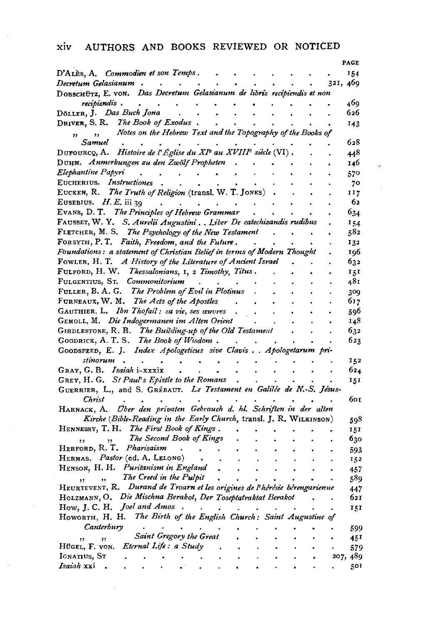### xiv AUTHORS AND BOOKS REVIEWED OR NOTICED

|                                                                                                   |  |  |          | PAGE            |
|---------------------------------------------------------------------------------------------------|--|--|----------|-----------------|
| D'ALES. A. Commodien et son Temps .                                                               |  |  |          | 154             |
| Decretum Gelasianum   .                                                                           |  |  | 321, 469 |                 |
| DOBSCHÜTZ, E. VON. Das Decretum Gelasianum de libris recipiendis et non                           |  |  |          |                 |
| recipiendis .<br>$\bullet$                                                                        |  |  |          | 469             |
| DÖLLER, J. Das Buch Jona                                                                          |  |  |          | 626             |
| DRIVER, S. R. The Book of Exodus.                                                                 |  |  |          | 143             |
| Notes on the Hebrew Text and the Topography of the Books of<br>$\overline{\phantom{a}}$           |  |  |          |                 |
| Samuel                                                                                            |  |  |          | 628             |
| DUFOURCQ, A. Histoire de l'Église du XI <sup>e</sup> au XVIII <sup>e</sup> siècle (VI).           |  |  |          | 448             |
| Duнм. Anmerkungen zu den Zwölf Propheten                                                          |  |  |          | 146             |
| Elephantine Papyri                                                                                |  |  |          | 570             |
| EUCHERIUS. Instructiones                                                                          |  |  |          | 70              |
| EUCKEN, R. The Truth of Religion (transl. W. T. JONES)                                            |  |  |          | II7             |
| EUSEBIUS. $H.E.$ iii 39<br>$\sim$                                                                 |  |  |          | 62              |
| EVANS, D. T. The Principles of Hebrew Grammar                                                     |  |  |          | 634             |
| FAUSSET, W. Y. S. Aurelii Augustini Liber De catechizandis rudibus                                |  |  |          | 154             |
| FLETCHER, M. S. The Psychology of the New Testament                                               |  |  |          | 582             |
| FORSYTH, P. T. Faith, Freedom, and the Future.                                                    |  |  |          | 132             |
| Foundations: a statement of Christian Belief in terms of Modern Thought                           |  |  |          | 196             |
| FOWLER, H. T. A History of the Literature of Ancient Israel                                       |  |  |          | 632             |
| FULFORD, H. W. Thessalonians, I, 2 Timothy, Titus.                                                |  |  |          | 151             |
| FULGENTIUS, ST. Commonitorium                                                                     |  |  |          | 481             |
| FULLER, B. A. G. The Problem of Evil in Plotinus                                                  |  |  |          | 309             |
| FURNEAUX, W. M. The Acts of the Apostles                                                          |  |  |          | 617             |
| GAUTHIER, L. Ibn Thofail: sa vie, ses œuvres                                                      |  |  |          | 596             |
| GEMOLL, M. Die Indogermanen im Alten Orient                                                       |  |  |          | 148             |
| GIRDLESTONE, R. B. The Building-up of the Old Testament                                           |  |  |          | 632             |
| GOODRICK, A. T. S. The Book of Wisdom.                                                            |  |  |          | 623             |
| GOODSPEED, E. J. Index Apologeticus sive Clavis Apologetarum pri-                                 |  |  |          |                 |
| stinorum<br>$\bullet$                                                                             |  |  |          | 152             |
| GRAY, G. B. Isaiah i-xxxix                                                                        |  |  |          | 624             |
| GREY, H. G. St Paul's Epistle to the Romans                                                       |  |  |          | 151             |
| GUERRIER, L., and S. GRÉBAUT. Le Testament en Galilée de N.-S. Jésus-                             |  |  |          |                 |
| Christ                                                                                            |  |  |          | бог             |
| Über den privaten Gebrauch d. hl. Schriften in der alten<br>HARNACK, A.                           |  |  |          |                 |
| Kirche (Bible-Reading in the Early Church, transl. J. R. WILKINSON)                               |  |  |          | 598             |
| HENNESSY, T. H. The First Book of Kings.                                                          |  |  |          | 151             |
| The Second Book of Kings                                                                          |  |  |          | 630             |
| HERFORD, R. T. Pharisaism                                                                         |  |  |          | 593             |
| HERMAS. Pastor (ed. A. LELONG)                                                                    |  |  |          | 152             |
| HENSON, H. H. Puritanism in England                                                               |  |  |          | 457             |
| The Creed in the Pulpit<br>,                                                                      |  |  |          | 589             |
| HEURTEVENT, R. Durand de Troarn et les origines de l'hérésie bérengarienne                        |  |  |          | 447             |
| HOLZMANN, O. Die Mischna Berakot, Der Toseptatraktat Berakot                                      |  |  |          | 621             |
| How, J. C. H. Joel and Amos<br>HOWORTH, H. H. The Birth of the English Church: Saint Augustine of |  |  |          | 151             |
| Canterbury                                                                                        |  |  |          |                 |
| Saint Gregory the Great                                                                           |  |  |          | 599             |
| , ,<br>Hügel, F. von. Eternal Life: a Study                                                       |  |  |          | 45I             |
| IGNATIUS, ST                                                                                      |  |  |          | 579<br>207, 489 |
| <i>Isaiah</i> xxi                                                                                 |  |  |          | 501             |
|                                                                                                   |  |  |          |                 |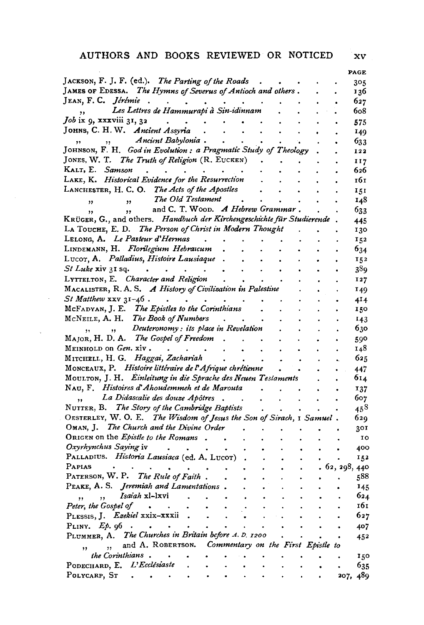### AUTHORS AND BOOKS REVIEWED OR NOTICED xv

 $\bar{\gamma}$ 

|                                                                                                                      |             | PAGE                    |
|----------------------------------------------------------------------------------------------------------------------|-------------|-------------------------|
| JACKSON, F. J. F. (ed.). The Parting of the Roads                                                                    |             | 305                     |
| JAMES OF EDESSA. The Hymns of Severus of Antioch and others.                                                         |             | 136                     |
|                                                                                                                      |             | 627                     |
| JEAN, F. C. Jérémie<br>,, Les Lettres de Hammurapi à Sin-idinnam                                                     |             | 608                     |
| $Job$ ix 9, xxxviii 31, 32<br>$\sim$ $\sim$ $\sim$ $\sim$                                                            |             | 575                     |
| JOHNS, C. H. W. Ancient Assyria<br>$\ddot{\phantom{a}}$<br>$\sim$                                                    |             | 149                     |
| Ancient Babylonia.<br>,,<br>, , ,                                                                                    |             | 633                     |
| JOHNSON, F. H. God in Evolution: a Pragmatic Study of Theology                                                       |             | 122                     |
| JONES, W. T. The Truth of Religion (R. EUCKEN).                                                                      |             | 117                     |
| KALT, E. Samson                                                                                                      |             | 626                     |
| LAKE, K. Historical Evidence for the Resurrection                                                                    |             | 161                     |
| LANCHESTER, H. C. O. The Acts of the Apostles                                                                        |             | 151                     |
| The Old Testament<br>$\overline{\mathbf{z}}$<br>,                                                                    |             | 148                     |
| and C. T. WOOD. A Hebrew Grammar.<br>$\mathbf{H}$<br>, ,                                                             |             | 633                     |
| KRÜGER, G., and others. Handbuch der Kirchengeschichte für Studierende.                                              |             | 445                     |
| LA TOUCHE, E. D. The Person of Christ in Modern Thought                                                              |             | 130                     |
| LELONG, A. Le Pasteur d'Hermas.                                                                                      |             | 152                     |
| LINDEMANN, H. Florilegium Hebraicum                                                                                  |             | 634                     |
| Lucor, A. Palladius, Histoire Lausiaque.                                                                             |             | 152                     |
| <i>St Luke</i> xiv 31 sq.<br><b>Contract Contract</b><br>$\ddot{\phantom{0}}$                                        |             | 389                     |
| LYTTELTON, E. Character and Religion                                                                                 |             | 127                     |
| MACALISTER, R. A. S. A History of Civilization in Palestine                                                          |             | 149                     |
| $St$ Matthew $xxy$ $31-46$                                                                                           |             | 414                     |
| MCFADYAN, J. E. The Epistles to the Corinthians                                                                      |             | 150                     |
| MCNEILE, A. H. The Book of Numbers.                                                                                  |             | 143                     |
| ,, Deuteronomy : its place in Revelation                                                                             |             | 630                     |
| MAJOR, H. D. A. The Gospel of Freedom.                                                                               |             | 590                     |
| MEINHOLD ON Gen. xiv.<br>$\mathbf{r}$ , $\mathbf{r}$<br>$\ddot{\phantom{0}}$                                         |             | 148                     |
| MITCHELL, H. G. Haggai, Zachariah<br>$\mathbf{r} = \mathbf{r} \cdot \mathbf{r}$<br>$\bullet$                         |             | 625<br>$\ddot{\bullet}$ |
| MONCEAUX, P. Histoire littéraire de l'Afrique chrétienne.                                                            |             | 447                     |
| MOULTON, J. H. Einleitung in die Sprache des Neuen Testaments                                                        |             | 614                     |
| NAU, F. Histoires d'Ahoudemmeh et de Marouta                                                                         |             | 137                     |
| La Didascalie des douze Apôtres.<br>$\mathbf{r}$<br>$\bullet$ .                                                      |             | 607                     |
| NUTTER, B. The Story of the Cambridge Baptists                                                                       |             | $45^{8}$                |
| OESTERLEY, W. O. E. The Wisdom of Jesus the Son of Sirach, I Samuel.                                                 |             | 629                     |
| OMAN, J. The Church and the Divine Order .                                                                           |             | 301                     |
| ORIGEN on the <i>Epistle to the Romans</i> .                                                                         |             | ΙO                      |
| Oxyrhynchus Saying iv<br>$\mathcal{L}(\mathbf{z})$ , and $\mathcal{L}(\mathbf{z})$ , and $\mathcal{L}(\mathbf{z})$   |             | 400                     |
| PALLADIUS. Historia Lausiaca (ed. A. LUCOT)                                                                          |             |                         |
| PAPIAS                                                                                                               |             | 152                     |
| PATERSON, W. P. The Rule of Faith.                                                                                   |             | .62, 298, 440<br>588    |
| PEAKE, A. S. Jeremiah and Lamentations.                                                                              |             | 145                     |
| Isaiah xl-lxvi                                                                                                       |             | 624                     |
| $\mathcal{A}^{\mathcal{A}}$ , $\mathcal{A}^{\mathcal{A}}$<br>, 1<br>$\overline{\phantom{a}}$<br>Peter, the Gospel of |             | 161                     |
| $\bullet$<br>PLESSIS, J. Esekiel xxix-xxxii.                                                                         |             | 627                     |
|                                                                                                                      |             |                         |
| PLINY. $E_p$ , $96$ $\cdot \cdot \cdot$<br>PLUMMER, A. The Churches in Britain before A. D. 1200                     |             | 407                     |
| ,, and A. ROBERTSON. Commentary on the First Epistle to                                                              | $\bullet$ . | 452                     |
| , 1                                                                                                                  |             |                         |
| the Corinthians.<br>$\bullet$ . The $\bullet$ is $\bullet$<br>$\sim 10^{-1}$                                         |             | 150                     |
| PODECHARD, E. L'Ecclésiaste .                                                                                        |             | 635                     |
| POLYCARP, ST<br>$\ddot{\phantom{0}}$<br>$\bullet$<br>$\bullet$                                                       |             | 207, 489                |